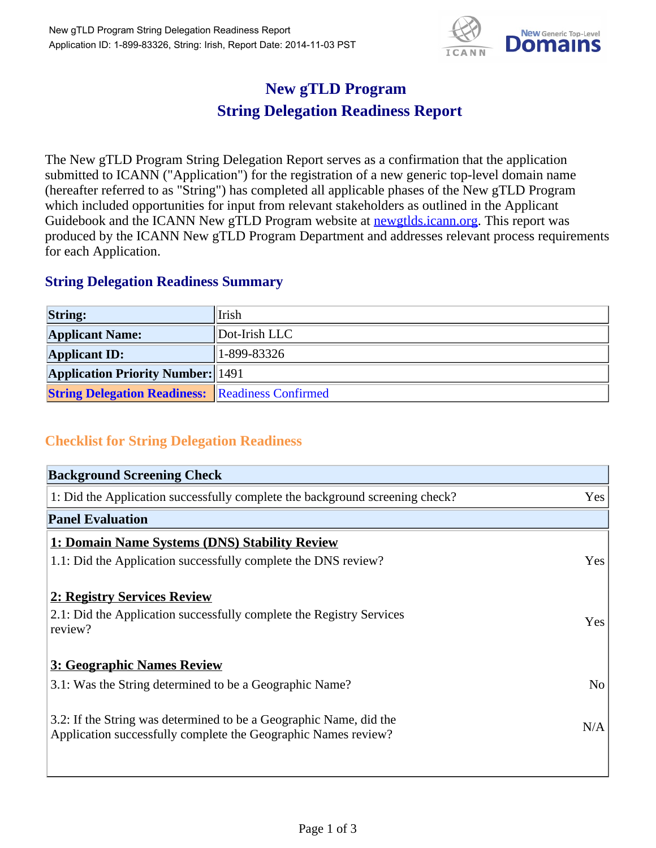

## **New gTLD Program String Delegation Readiness Report**

The New gTLD Program String Delegation Report serves as a confirmation that the application submitted to ICANN ("Application") for the registration of a new generic top-level domain name (hereafter referred to as "String") has completed all applicable phases of the New gTLD Program which included opportunities for input from relevant stakeholders as outlined in the Applicant Guidebook and the ICANN New gTLD Program website at newgtlds.icann.org. This report was produced by the ICANN New gTLD Program Department and addresses relevant process requirements for each Application.

## **String Delegation Readiness Summary**

| <b>String:</b>                                          | Irish             |
|---------------------------------------------------------|-------------------|
| <b>Applicant Name:</b>                                  | $ $ Dot-Irish LLC |
| <b>Applicant ID:</b>                                    | 1-899-83326       |
| <b>Application Priority Number:</b> 1491                |                   |
| <b>String Delegation Readiness: Readiness Confirmed</b> |                   |

## **Checklist for String Delegation Readiness**

| <b>Background Screening Check</b>                                                                                                    |                |
|--------------------------------------------------------------------------------------------------------------------------------------|----------------|
| 1: Did the Application successfully complete the background screening check?                                                         | Yes            |
| <b>Panel Evaluation</b>                                                                                                              |                |
| 1: Domain Name Systems (DNS) Stability Review                                                                                        |                |
| 1.1: Did the Application successfully complete the DNS review?                                                                       | Yes            |
| 2: Registry Services Review                                                                                                          |                |
| 2.1: Did the Application successfully complete the Registry Services<br>review?                                                      | Yes            |
| 3: Geographic Names Review                                                                                                           |                |
| 3.1: Was the String determined to be a Geographic Name?                                                                              | N <sub>o</sub> |
| 3.2: If the String was determined to be a Geographic Name, did the<br>Application successfully complete the Geographic Names review? | N/A            |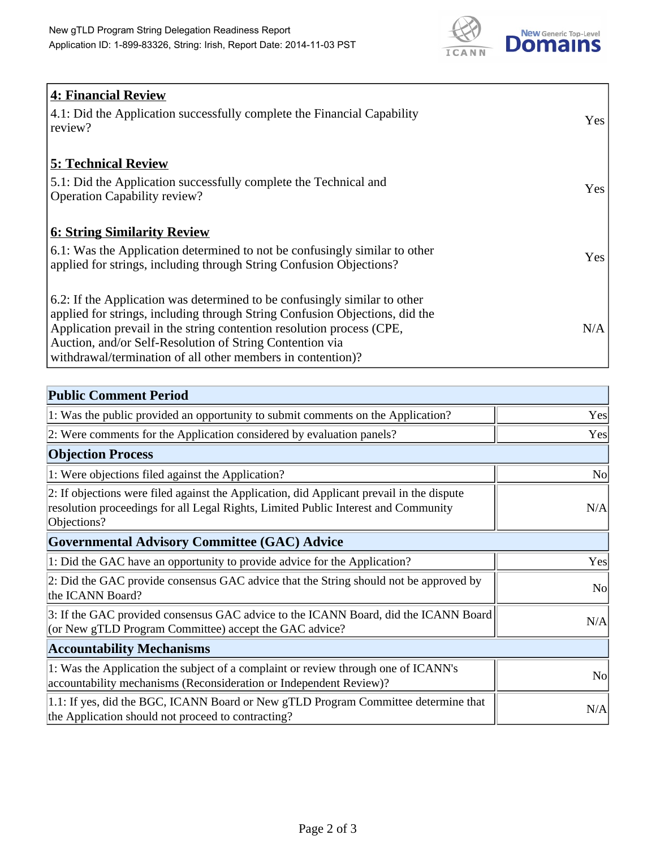

| <b>4: Financial Review</b><br>4.1: Did the Application successfully complete the Financial Capability<br>review?                                                                                                                                                                                                                                             | <b>Yes</b> |
|--------------------------------------------------------------------------------------------------------------------------------------------------------------------------------------------------------------------------------------------------------------------------------------------------------------------------------------------------------------|------------|
| <b>5: Technical Review</b><br>5.1: Did the Application successfully complete the Technical and<br><b>Operation Capability review?</b>                                                                                                                                                                                                                        | Yes        |
| <b>6: String Similarity Review</b><br>6.1: Was the Application determined to not be confusingly similar to other<br>applied for strings, including through String Confusion Objections?                                                                                                                                                                      | Yes        |
| 6.2: If the Application was determined to be confusingly similar to other<br>applied for strings, including through String Confusion Objections, did the<br>Application prevail in the string contention resolution process (CPE,<br>Auction, and/or Self-Resolution of String Contention via<br>withdrawal/termination of all other members in contention)? | N/A        |

| <b>Public Comment Period</b>                                                                                                                                                                   |                |
|------------------------------------------------------------------------------------------------------------------------------------------------------------------------------------------------|----------------|
| 1: Was the public provided an opportunity to submit comments on the Application?                                                                                                               | Yes            |
| 2: Were comments for the Application considered by evaluation panels?                                                                                                                          | Yes            |
| <b>Objection Process</b>                                                                                                                                                                       |                |
| 1: Were objections filed against the Application?                                                                                                                                              | N <sub>o</sub> |
| 2: If objections were filed against the Application, did Applicant prevail in the dispute<br>resolution proceedings for all Legal Rights, Limited Public Interest and Community<br>Objections? | N/A            |
| Governmental Advisory Committee (GAC) Advice                                                                                                                                                   |                |
| 1: Did the GAC have an opportunity to provide advice for the Application?                                                                                                                      | Yes            |
| 2: Did the GAC provide consensus GAC advice that the String should not be approved by<br>the ICANN Board?                                                                                      | <b>No</b>      |
| 3: If the GAC provided consensus GAC advice to the ICANN Board, did the ICANN Board<br>(or New gTLD Program Committee) accept the GAC advice?                                                  | N/A            |
| <b>Accountability Mechanisms</b>                                                                                                                                                               |                |
| 1: Was the Application the subject of a complaint or review through one of ICANN's<br>accountability mechanisms (Reconsideration or Independent Review)?                                       | <b>No</b>      |
| 1.1: If yes, did the BGC, ICANN Board or New gTLD Program Committee determine that<br>the Application should not proceed to contracting?                                                       | N/A            |